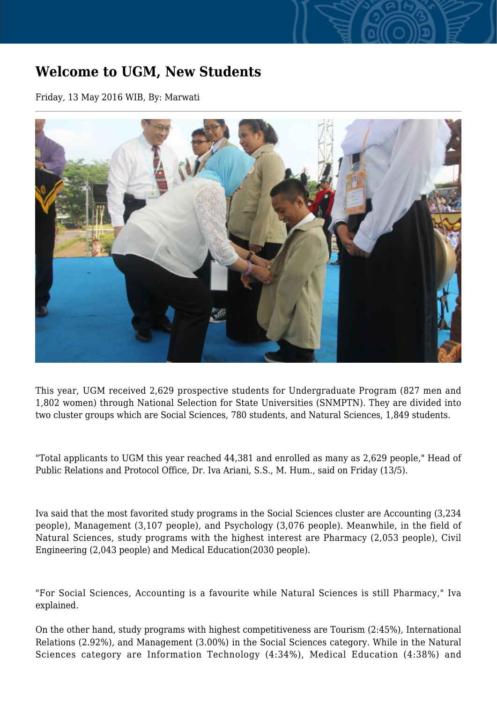## **Welcome to UGM, New Students**

Friday, 13 May 2016 WIB, By: Marwati



This year, UGM received 2,629 prospective students for Undergraduate Program (827 men and 1,802 women) through National Selection for State Universities (SNMPTN). They are divided into two cluster groups which are Social Sciences, 780 students, and Natural Sciences, 1,849 students.

"Total applicants to UGM this year reached 44,381 and enrolled as many as 2,629 people," Head of Public Relations and Protocol Office, Dr. Iva Ariani, S.S., M. Hum., said on Friday (13/5).

Iva said that the most favorited study programs in the Social Sciences cluster are Accounting (3,234 people), Management (3,107 people), and Psychology (3,076 people). Meanwhile, in the field of Natural Sciences, study programs with the highest interest are Pharmacy (2,053 people), Civil Engineering (2,043 people) and Medical Education(2030 people).

"For Social Sciences, Accounting is a favourite while Natural Sciences is still Pharmacy," Iva explained.

On the other hand, study programs with highest competitiveness are Tourism (2:45%), International Relations (2.92%), and Management (3.00%) in the Social Sciences category. While in the Natural Sciences category are Information Technology (4:34%), Medical Education (4:38%) and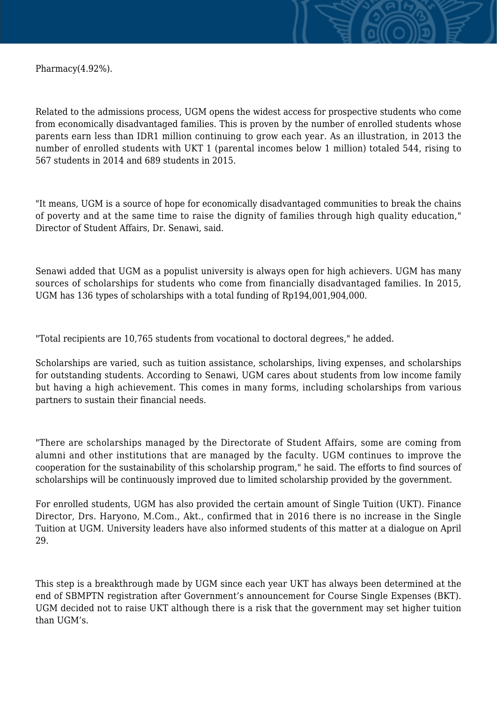Pharmacy(4.92%).

Related to the admissions process, UGM opens the widest access for prospective students who come from economically disadvantaged families. This is proven by the number of enrolled students whose parents earn less than IDR1 million continuing to grow each year. As an illustration, in 2013 the number of enrolled students with UKT 1 (parental incomes below 1 million) totaled 544, rising to 567 students in 2014 and 689 students in 2015.

"It means, UGM is a source of hope for economically disadvantaged communities to break the chains of poverty and at the same time to raise the dignity of families through high quality education," Director of Student Affairs, Dr. Senawi, said.

Senawi added that UGM as a populist university is always open for high achievers. UGM has many sources of scholarships for students who come from financially disadvantaged families. In 2015, UGM has 136 types of scholarships with a total funding of Rp194,001,904,000.

"Total recipients are 10,765 students from vocational to doctoral degrees," he added.

Scholarships are varied, such as tuition assistance, scholarships, living expenses, and scholarships for outstanding students. According to Senawi, UGM cares about students from low income family but having a high achievement. This comes in many forms, including scholarships from various partners to sustain their financial needs.

"There are scholarships managed by the Directorate of Student Affairs, some are coming from alumni and other institutions that are managed by the faculty. UGM continues to improve the cooperation for the sustainability of this scholarship program," he said. The efforts to find sources of scholarships will be continuously improved due to limited scholarship provided by the government.

For enrolled students, UGM has also provided the certain amount of Single Tuition (UKT). Finance Director, Drs. Haryono, M.Com., Akt., confirmed that in 2016 there is no increase in the Single Tuition at UGM. University leaders have also informed students of this matter at a dialogue on April 29.

This step is a breakthrough made by UGM since each year UKT has always been determined at the end of SBMPTN registration after Government's announcement for Course Single Expenses (BKT). UGM decided not to raise UKT although there is a risk that the government may set higher tuition than UGM's.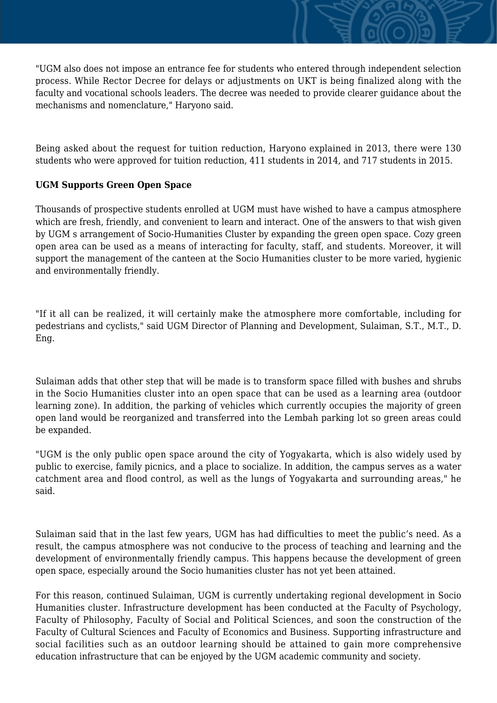"UGM also does not impose an entrance fee for students who entered through independent selection process. While Rector Decree for delays or adjustments on UKT is being finalized along with the faculty and vocational schools leaders. The decree was needed to provide clearer guidance about the mechanisms and nomenclature," Haryono said.

Being asked about the request for tuition reduction, Haryono explained in 2013, there were 130 students who were approved for tuition reduction, 411 students in 2014, and 717 students in 2015.

## **UGM Supports Green Open Space**

Thousands of prospective students enrolled at UGM must have wished to have a campus atmosphere which are fresh, friendly, and convenient to learn and interact. One of the answers to that wish given by UGM s arrangement of Socio-Humanities Cluster by expanding the green open space. Cozy green open area can be used as a means of interacting for faculty, staff, and students. Moreover, it will support the management of the canteen at the Socio Humanities cluster to be more varied, hygienic and environmentally friendly.

"If it all can be realized, it will certainly make the atmosphere more comfortable, including for pedestrians and cyclists," said UGM Director of Planning and Development, Sulaiman, S.T., M.T., D. Eng.

Sulaiman adds that other step that will be made is to transform space filled with bushes and shrubs in the Socio Humanities cluster into an open space that can be used as a learning area (outdoor learning zone). In addition, the parking of vehicles which currently occupies the majority of green open land would be reorganized and transferred into the Lembah parking lot so green areas could be expanded.

"UGM is the only public open space around the city of Yogyakarta, which is also widely used by public to exercise, family picnics, and a place to socialize. In addition, the campus serves as a water catchment area and flood control, as well as the lungs of Yogyakarta and surrounding areas," he said.

Sulaiman said that in the last few years, UGM has had difficulties to meet the public's need. As a result, the campus atmosphere was not conducive to the process of teaching and learning and the development of environmentally friendly campus. This happens because the development of green open space, especially around the Socio humanities cluster has not yet been attained.

For this reason, continued Sulaiman, UGM is currently undertaking regional development in Socio Humanities cluster. Infrastructure development has been conducted at the Faculty of Psychology, Faculty of Philosophy, Faculty of Social and Political Sciences, and soon the construction of the Faculty of Cultural Sciences and Faculty of Economics and Business. Supporting infrastructure and social facilities such as an outdoor learning should be attained to gain more comprehensive education infrastructure that can be enjoyed by the UGM academic community and society.